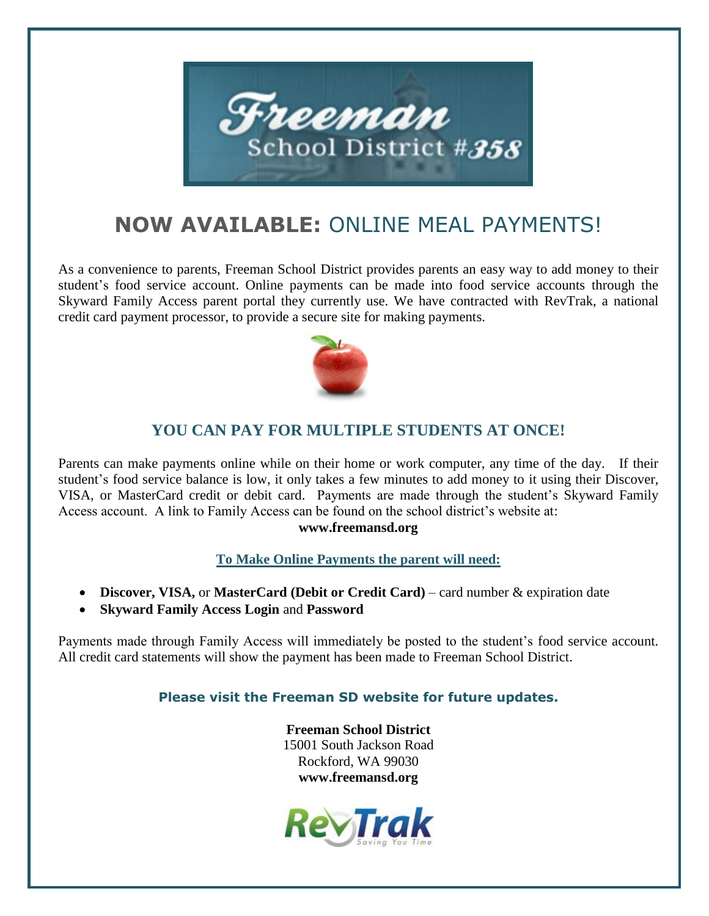

# **NOW AVAILABLE:** ONLINE MEAL PAYMENTS!

As a convenience to parents, Freeman School District provides parents an easy way to add money to their student's food service account. Online payments can be made into food service accounts through the Skyward Family Access parent portal they currently use. We have contracted with RevTrak, a national credit card payment processor, to provide a secure site for making payments.



### **YOU CAN PAY FOR MULTIPLE STUDENTS AT ONCE!**

Parents can make payments online while on their home or work computer, any time of the day. If their student's food service balance is low, it only takes a few minutes to add money to it using their Discover, VISA, or MasterCard credit or debit card. Payments are made through the student's Skyward Family Access account. A link to Family Access can be found on the school district's website at:

#### **www.freemansd.org**

**To Make Online Payments the parent will need:**

- **Discover, VISA,** or **MasterCard (Debit or Credit Card)** card number & expiration date
- **Skyward Family Access Login** and **Password**

Payments made through Family Access will immediately be posted to the student's food service account. All credit card statements will show the payment has been made to Freeman School District.

#### **Please visit the Freeman SD website for future updates.**

**Freeman School District** 15001 South Jackson Road Rockford, WA 99030 **www.freemansd.org**